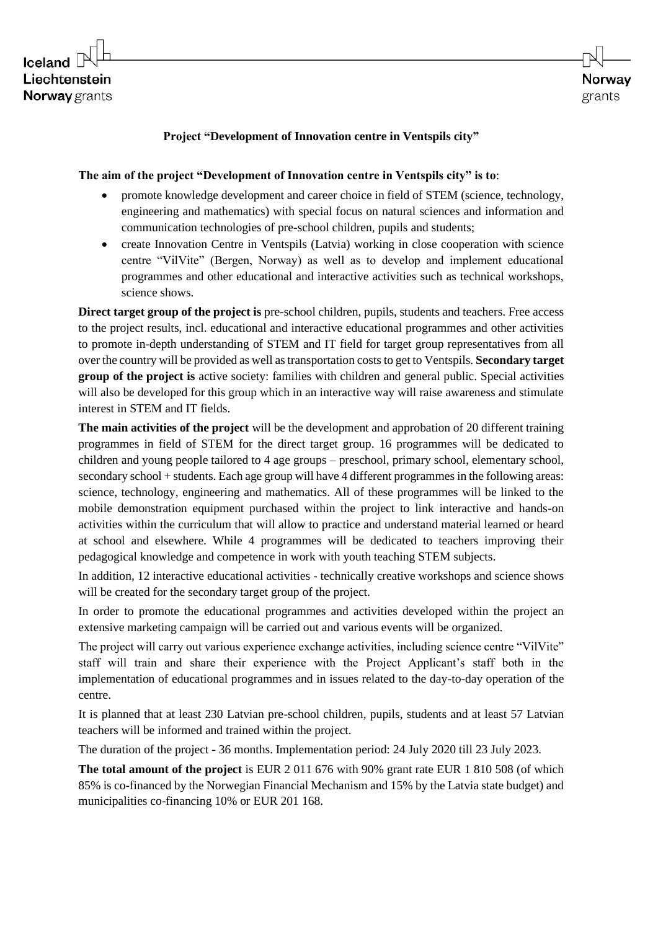## **Project "Development of Innovation centre in Ventspils city"**

## **The aim of the project "Development of Innovation centre in Ventspils city" is to**:

- promote knowledge development and career choice in field of STEM (science, technology, engineering and mathematics) with special focus on natural sciences and information and communication technologies of pre-school children, pupils and students;
- create Innovation Centre in Ventspils (Latvia) working in close cooperation with science centre "VilVite" (Bergen, Norway) as well as to develop and implement educational programmes and other educational and interactive activities such as technical workshops, science shows.

**Direct target group of the project is** pre-school children, pupils, students and teachers. Free access to the project results, incl. educational and interactive educational programmes and other activities to promote in-depth understanding of STEM and IT field for target group representatives from all over the country will be provided as well as transportation costs to get to Ventspils. **Secondary target group of the project is** active society: families with children and general public. Special activities will also be developed for this group which in an interactive way will raise awareness and stimulate interest in STEM and IT fields.

**The main activities of the project** will be the development and approbation of 20 different training programmes in field of STEM for the direct target group. 16 programmes will be dedicated to children and young people tailored to 4 age groups – preschool, primary school, elementary school, secondary school + students. Each age group will have 4 different programmes in the following areas: science, technology, engineering and mathematics. All of these programmes will be linked to the mobile demonstration equipment purchased within the project to link interactive and hands-on activities within the curriculum that will allow to practice and understand material learned or heard at school and elsewhere. While 4 programmes will be dedicated to teachers improving their pedagogical knowledge and competence in work with youth teaching STEM subjects.

In addition, 12 interactive educational activities - technically creative workshops and science shows will be created for the secondary target group of the project.

In order to promote the educational programmes and activities developed within the project an extensive marketing campaign will be carried out and various events will be organized.

The project will carry out various experience exchange activities, including science centre "VilVite" staff will train and share their experience with the Project Applicant's staff both in the implementation of educational programmes and in issues related to the day-to-day operation of the centre.

It is planned that at least 230 Latvian pre-school children, pupils, students and at least 57 Latvian teachers will be informed and trained within the project.

The duration of the project - 36 months. Implementation period: 24 July 2020 till 23 July 2023.

**The total amount of the project** is EUR 2 011 676 with 90% grant rate EUR 1 810 508 (of which 85% is co-financed by the Norwegian Financial Mechanism and 15% by the Latvia state budget) and municipalities co-financing 10% or EUR 201 168.